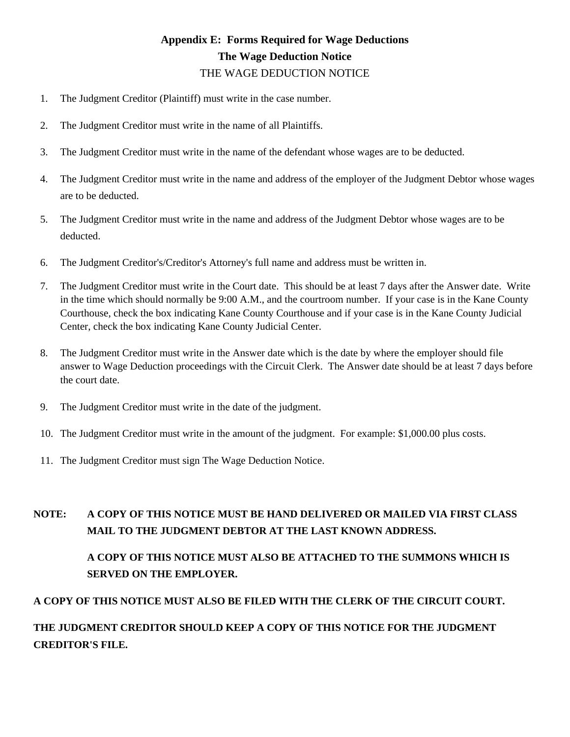## THE WAGE DEDUCTION NOTICE **Appendix E: Forms Required for Wage Deductions The Wage Deduction Notice**

- 1. The Judgment Creditor (Plaintiff) must write in the case number.
- 2. The Judgment Creditor must write in the name of all Plaintiffs.
- 3. The Judgment Creditor must write in the name of the defendant whose wages are to be deducted.
- 4. The Judgment Creditor must write in the name and address of the employer of the Judgment Debtor whose wages are to be deducted.
- 5. The Judgment Creditor must write in the name and address of the Judgment Debtor whose wages are to be deducted.
- 6. The Judgment Creditor's/Creditor's Attorney's full name and address must be written in.
- 7. The Judgment Creditor must write in the Court date. This should be at least 7 days after the Answer date. Write in the time which should normally be 9:00 A.M., and the courtroom number. If your case is in the Kane County Courthouse, check the box indicating Kane County Courthouse and if your case is in the Kane County Judicial Center, check the box indicating Kane County Judicial Center.
- 8. The Judgment Creditor must write in the Answer date which is the date by where the employer should file answer to Wage Deduction proceedings with the Circuit Clerk. The Answer date should be at least 7 days before the court date.
- 9. The Judgment Creditor must write in the date of the judgment.
- 10. The Judgment Creditor must write in the amount of the judgment. For example: \$1,000.00 plus costs.
- 11. The Judgment Creditor must sign The Wage Deduction Notice.

#### **A COPY OF THIS NOTICE MUST BE HAND DELIVERED OR MAILED VIA FIRST CLASS MAIL TO THE JUDGMENT DEBTOR AT THE LAST KNOWN ADDRESS. NOTE:**

### **A COPY OF THIS NOTICE MUST ALSO BE ATTACHED TO THE SUMMONS WHICH IS SERVED ON THE EMPLOYER.**

### **A COPY OF THIS NOTICE MUST ALSO BE FILED WITH THE CLERK OF THE CIRCUIT COURT.**

### **THE JUDGMENT CREDITOR SHOULD KEEP A COPY OF THIS NOTICE FOR THE JUDGMENT CREDITOR'S FILE.**